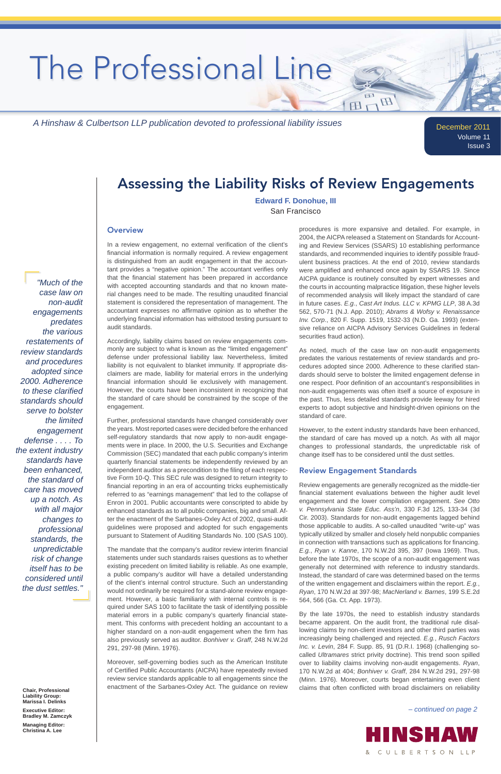December 2011 Volume 11 Issue 3

In a review engagement, no external verification of the client's financial information is normally required. A review engagement is distinguished from an audit engagement in that the accountant provides a "negative opinion." The accountant verifies only that the financial statement has been prepared in accordance with accepted accounting standards and that no known material changes need to be made. The resulting unaudited financial statement is considered the representation of management. The accountant expresses no affirmative opinion as to whether the underlying financial information has withstood testing pursuant to audit standards.

Accordingly, liability claims based on review engagements commonly are subject to what is known as the "limited engagement" defense under professional liability law. Nevertheless, limited liability is not equivalent to blanket immunity. If appropriate disclaimers are made, liability for material errors in the underlying financial information should lie exclusively with management. However, the courts have been inconsistent in recognizing that the standard of care should be constrained by the scope of the engagement.

The mandate that the company's auditor review interim financial statements under such standards raises questions as to whether existing precedent on limited liability is reliable. As one example, a public company's auditor will have a detailed understanding of the client's internal control structure. Such an understanding would not ordinarily be required for a stand-alone review engagement. However, a basic familiarity with internal controls is required under SAS 100 to facilitate the task of identifying possible material errors in a public company's quarterly financial statement. This conforms with precedent holding an accountant to a higher standard on a non-audit engagement when the firm has also previously served as auditor. *Bonhiver v. Graff*, 248 N.W.2d 291, 297-98 (Minn. 1976).

Further, professional standards have changed considerably over the years. Most reported cases were decided before the enhanced self-regulatory standards that now apply to non-audit engagements were in place. In 2000, the U.S. Securities and Exchange Commission (SEC) mandated that each public company's interim quarterly financial statements be independently reviewed by an independent auditor as a precondition to the filing of each respective Form 10-Q. This SEC rule was designed to return integrity to financial reporting in an era of accounting tricks euphemistically referred to as "earnings management" that led to the collapse of Enron in 2001. Public accountants were conscripted to abide by enhanced standards as to all public companies, big and small. After the enactment of the Sarbanes-Oxley Act of 2002, quasi-audit guidelines were proposed and adopted for such engagements pursuant to Statement of Auditing Standards No. 100 (SAS 100).

> By the late 1970s, the need to establish industry standards became apparent. On the audit front, the traditional rule disallowing claims by non-client investors and other third parties was increasingly being challenged and rejected. *E.g.*, *Rusch Factors Inc. v. Levin*, 284 F. Supp. 85, 91 (D.R.I. 1968) (challenging socalled *Ultramares* strict privity doctrine). This trend soon spilled over to liability claims involving non-audit engagements. *Ryan*, 170 N.W.2d at 404; *Bonhiver v. Graff*, 284 N.W.2d 291, 297-98 (Minn. 1976). Moreover, courts began entertaining even client claims that often conflicted with broad disclaimers on reliability

Moreover, self-governing bodies such as the American Institute of Certified Public Accountants (AICPA) have repeatedly revised review service standards applicable to all engagements since the enactment of the Sarbanes-Oxley Act. The guidance on review

procedures is more expansive and detailed. For example, in 2004, the AICPA released a Statement on Standards for Accounting and Review Services (SSARS) 10 establishing performance standards, and recommended inquiries to identify possible fraudulent business practices. At the end of 2010, review standards were amplified and enhanced once again by SSARS 19. Since AICPA guidance is routinely consulted by expert witnesses and the courts in accounting malpractice litigation, these higher levels of recommended analysis will likely impact the standard of care in future cases. *E.g.*, *Cast Art Indus. LLC v. KPMG LLP*, 38 A.3d 562, 570-71 (N.J. App. 2010); *Abrams & Wofsy v. Renaissance Inv. Corp*., 820 F. Supp. 1519, 1532-33 (N.D. Ga. 1993) (extensive reliance on AICPA Advisory Services Guidelines in federal securities fraud action).

H

田

As noted, much of the case law on non-audit engagements predates the various restatements of review standards and procedures adopted since 2000. Adherence to these clarified standards should serve to bolster the limited engagement defense in one respect. Poor definition of an accountant's responsibilities in non-audit engagements was often itself a source of exposure in the past. Thus, less detailed standards provide leeway for hired experts to adopt subjective and hindsight-driven opinions on the standard of care.

However, to the extent industry standards have been enhanced, the standard of care has moved up a notch. As with all major changes to professional standards, the unpredictable risk of change itself has to be considered until the dust settles.

### Review Engagement Standards

Review engagements are generally recognized as the middle-tier financial statement evaluations between the higher audit level engagement and the lower compilation engagement. *See Otto v. Pennsylvania State Educ. Ass'n*, 330 F.3d 125, 133-34 (3d Cir. 2003). Standards for non-audit engagements lagged behind those applicable to audits. A so-called unaudited "write-up" was typically utilized by smaller and closely held nonpublic companies in connection with transactions such as applications for financing. *E.g.*, *Ryan v. Kanne*, 170 N.W.2d 395, 397 (Iowa 1969). Thus, before the late 1970s, the scope of a non-audit engagement was generally not determined with reference to industry standards. Instead, the standard of care was determined based on the terms of the written engagement and disclaimers within the report. *E.g.*, *Ryan*, 170 N.W.2d at 397-98; *MacNerland v. Barnes*, 199 S.E.2d 564, 566 (Ga. Ct. App. 1973).

# Assessing the Liability Risks of Review Engagements

**Chair, Professional Liability Group: Marissa I. Delinks**

**Executive Editor: Bradley M. Zamczyk**

**Managing Editor: Christina A. Lee**

 *– continued on page 2*



### **Edward F. Donohue, III** San Francisco

### **Overview**

*"Much of the* 

*case law on non-audit engagements predates the various restatements of review standards and procedures adopted since 2000. Adherence to these clarified standards should serve to bolster the limited engagement defense . . . . To the extent industry standards have been enhanced, the standard of care has moved up a notch. As with all major changes to professional standards, the unpredictable risk of change* 

*itself has to be considered until the dust settles."*

*A Hinshaw & Culbertson LLP publication devoted to professional liability issues*

# The Professional Line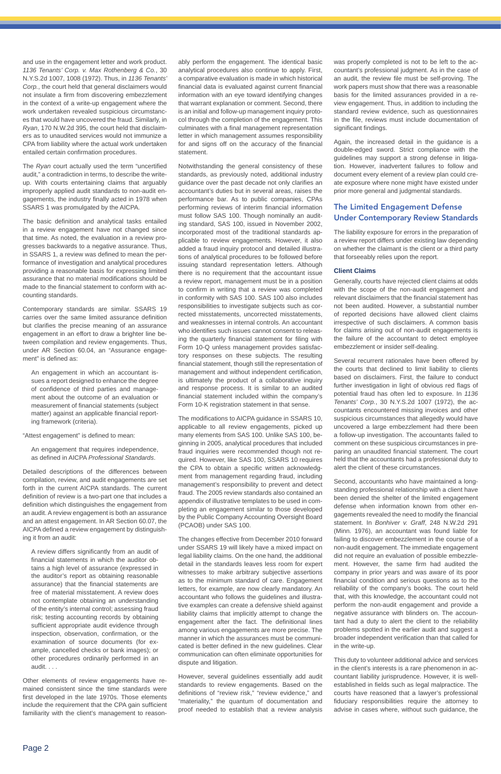and use in the engagement letter and work product. *1136 Tenants' Corp. v. Max Rothenberg & Co.*, 30 N.Y.S.2d 1007, 1008 (1972). Thus, in *1136 Tenants' Corp.*, the court held that general disclaimers would not insulate a firm from discovering embezzlement in the context of a write-up engagement where the work undertaken revealed suspicious circumstances that would have uncovered the fraud. Similarly, in *Ryan*, 170 N.W.2d 395, the court held that disclaimers as to unaudited services would not immunize a CPA from liability where the actual work undertaken entailed certain confirmation procedures.

The *Ryan* court actually used the term "uncertified audit," a contradiction in terms, to describe the writeup. With courts entertaining claims that arguably improperly applied audit standards to non-audit engagements, the industry finally acted in 1978 when SSARS 1 was promulgated by the AICPA.

The basic definition and analytical tasks entailed in a review engagement have not changed since that time. As noted, the evaluation in a review progresses backwards to a negative assurance. Thus, in SSARS 1, a review was defined to mean the performance of investigation and analytical procedures providing a reasonable basis for expressing limited assurance that no material modifications should be made to the financial statement to conform with accounting standards.

Contemporary standards are similar. SSARS 19 carries over the same limited assurance definition but clarifies the precise meaning of an assurance engagement in an effort to draw a brighter line between compilation and review engagements. Thus, under AR Section 60.04, an "Assurance engagement" is defined as:

An engagement that requires independence, as defined in AICPA Professional Standards.

A review differs significantly from an audit of financial statements in which the auditor obtains a high level of assurance (expressed in the auditor's report as obtaining reasonable assurance) that the financial statements are free of material misstatement. A review does not contemplate obtaining an understanding of the entity's internal control; assessing fraud risk; testing accounting records by obtaining sufficient appropriate audit evidence through inspection, observation, confirmation, or the examination of source documents (for example, cancelled checks or bank images); or other procedures ordinarily performed in an audit. . . .

An engagement in which an accountant issues a report designed to enhance the degree of confidence of third parties and management about the outcome of an evaluation or measurement of financial statements (subject matter) against an applicable financial reporting framework (criteria).

"Attest engagement" is defined to mean:

Detailed descriptions of the differences between compilation, review, and audit engagements are set forth in the current AICPA standards. The current definition of review is a two-part one that includes a definition which distinguishes the engagement from an audit. A review engagement is both an assurance and an attest engagement. In AR Section 60.07, the AICPA defined a review engagement by distinguishing it from an audit:

The modifications to AICPA guidance in SSARS 10, applicable to all review engagements, picked up many elements from SAS 100. Unlike SAS 100, beginning in 2005, analytical procedures that included fraud inquiries were recommended though not required. However, like SAS 100, SSARS 10 requires the CPA to obtain a specific written acknowledgment from management regarding fraud, including management's responsibility to prevent and detect fraud. The 2005 review standards also contained an appendix of illustrative templates to be used in completing an engagement similar to those developed by the Public Company Accounting Oversight Board (PCAOB) under SAS 100.

Other elements of review engagements have remained consistent since the time standards were first developed in the late 1970s. Those elements include the requirement that the CPA gain sufficient familiarity with the client's management to reasonwas properly completed is not to be left to the accountant's professional judgment. As in the case of an audit, the review file must be self-proving. The work papers must show that there was a reasonable basis for the limited assurances provided in a review engagement. Thus, in addition to including the standard review evidence, such as questionnaires in the file, reviews must include documentation of significant findings.

ably perform the engagement. The identical basic analytical procedures also continue to apply. First, a comparative evaluation is made in which historical financial data is evaluated against current financial information with an eye toward identifying changes that warrant explanation or comment. Second, there is an initial and follow-up management inquiry protocol through the completion of the engagement. This culminates with a final management representation letter in which management assumes responsibility for and signs off on the accuracy of the financial statement.

Notwithstanding the general consistency of these standards, as previously noted, additional industry guidance over the past decade not only clarifies an accountant's duties but in several areas, raises the performance bar. As to public companies, CPAs performing reviews of interim financial information must follow SAS 100. Though nominally an auditing standard, SAS 100, issued in November 2002, incorporated most of the traditional standards applicable to review engagements. However, it also added a fraud inquiry protocol and detailed illustrations of analytical procedures to be followed before issuing standard representation letters. Although there is no requirement that the accountant issue a review report, management must be in a position to confirm in writing that a review was completed in conformity with SAS 100. SAS 100 also includes responsibilities to investigate subjects such as corrected misstatements, uncorrected misstatements, and weaknesses in internal controls. An accountant who identifies such issues cannot consent to releasing the quarterly financial statement for filing with Form 10-Q unless management provides satisfactory responses on these subjects. The resulting financial statement, though still the representation of management and without independent certification, is ultimately the product of a collaborative inquiry and response process. It is similar to an audited financial statement included within the company's Form 10-K registration statement in that sense.

The changes effective from December 2010 forward under SSARS 19 will likely have a mixed impact on legal liability claims. On the one hand, the additional detail in the standards leaves less room for expert witnesses to make arbitrary subjective assertions as to the minimum standard of care. Engagement letters, for example, are now clearly mandatory. An accountant who follows the guidelines and illustrative examples can create a defensive shield against liability claims that implicitly attempt to change the engagement after the fact. The definitional lines among various engagements are more precise. The manner in which the assurances must be communicated is better defined in the new guidelines. Clear communication can often eliminate opportunities for dispute and litigation.

However, several guidelines essentially add audit standards to review engagements. Based on the definitions of "review risk," "review evidence," and "materiality," the quantum of documentation and proof needed to establish that a review analysis

Again, the increased detail in the guidance is a double-edged sword. Strict compliance with the guidelines may support a strong defense in litigation. However, inadvertent failures to follow and document every element of a review plan could create exposure where none might have existed under prior more general and judgmental standards.

## The Limited Engagement Defense Under Contemporary Review Standards

The liability exposure for errors in the preparation of a review report differs under existing law depending on whether the claimant is the client or a third party that forseeably relies upon the report.

### **Client Claims**

Generally, courts have rejected client claims at odds with the scope of the non-audit engagement and relevant disclaimers that the financial statement has not been audited. However, a substantial number of reported decisions have allowed client claims irrespective of such disclaimers. A common basis for claims arising out of non-audit engagements is the failure of the accountant to detect employee embezzlement or insider self-dealing.

Several recurrent rationales have been offered by the courts that declined to limit liability to clients based on disclaimers. First, the failure to conduct further investigation in light of obvious red flags of potential fraud has often led to exposure. In *1136 Tenants' Corp.*, 30 N.Y.S.2d 1007 (1972), the accountants encountered missing invoices and other suspicious circumstances that allegedly would have uncovered a large embezzlement had there been a follow-up investigation. The accountants failed to comment on these suspicious circumstances in preparing an unaudited financial statement. The court held that the accountants had a professional duty to alert the client of these circumstances.

Second, accountants who have maintained a longstanding professional relationship with a client have been denied the shelter of the limited engagement defense when information known from other engagements revealed the need to modify the financial statement. In *Bonhiver v. Graff*, 248 N.W.2d 291 (Minn. 1976), an accountant was found liable for failing to discover embezzlement in the course of a non-audit engagement. The immediate engagement did not require an evaluation of possible embezzlement. However, the same firm had audited the company in prior years and was aware of its poor financial condition and serious questions as to the reliability of the company's books. The court held that, with this knowledge, the accountant could not perform the non-audit engagement and provide a negative assurance with blinders on. The accountant had a duty to alert the client to the reliability problems spotted in the earlier audit and suggest a broader independent verification than that called for in the write-up.

This duty to volunteer additional advice and services in the client's interests is a rare phenomenon in accountant liability jurisprudence. However, it is wellestablished in fields such as legal malpractice. The courts have reasoned that a lawyer's professional fiduciary responsibilities require the attorney to advise in cases where, without such guidance, the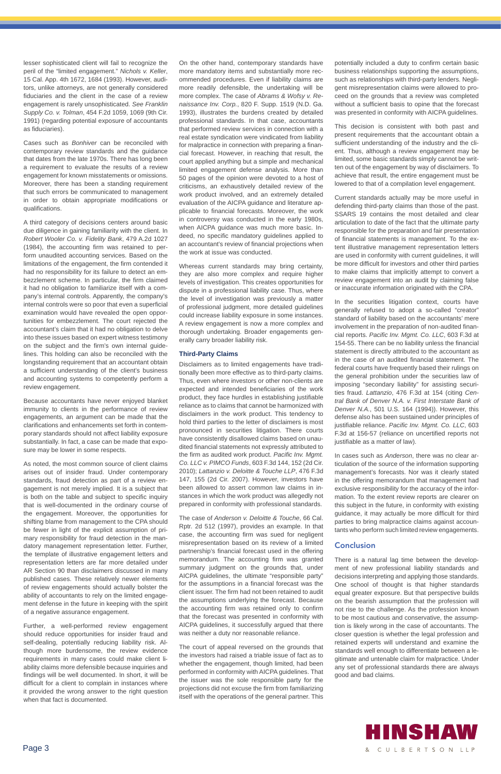lesser sophisticated client will fail to recognize the peril of the "limited engagement." *Nichols v. Keller*, 15 Cal. App. 4th 1672, 1684 (1993). However, auditors, unlike attorneys, are not generally considered fiduciaries and the client in the case of a review engagement is rarely unsophisticated. *See Franklin Supply Co. v. Tolman*, 454 F.2d 1059, 1069 (9th Cir. 1991) (regarding potential exposure of accountants as fiduciaries).

Cases such as *Bonhiver* can be reconciled with contemporary review standards and the guidance that dates from the late 1970s. There has long been a requirement to evaluate the results of a review engagement for known misstatements or omissions. Moreover, there has been a standing requirement that such errors be communicated to management in order to obtain appropriate modifications or qualifications.

A third category of decisions centers around basic due diligence in gaining familiarity with the client. In *Robert Wooler Co. v. Fidelity Bank*, 479 A.2d 1027 (1984), the accounting firm was retained to perform unaudited accounting services. Based on the limitations of the engagement, the firm contended it had no responsibility for its failure to detect an embezzlement scheme. In particular, the firm claimed it had no obligation to familiarize itself with a company's internal controls. Apparently, the company's internal controls were so poor that even a superficial examination would have revealed the open opportunities for embezzlement. The court rejected the accountant's claim that it had no obligation to delve into these issues based on expert witness testimony on the subject and the firm's own internal guidelines. This holding can also be reconciled with the longstanding requirement that an accountant obtain a sufficient understanding of the client's business and accounting systems to competently perform a review engagement.

Because accountants have never enjoyed blanket immunity to clients in the performance of review engagements, an argument can be made that the clarifications and enhancements set forth in contemporary standards should not affect liability exposure substantially. In fact, a case can be made that exposure may be lower in some respects.

As noted, the most common source of client claims arises out of insider fraud. Under contemporary standards, fraud detection as part of a review engagement is not merely implied. It is a subject that is both on the table and subject to specific inquiry that is well-documented in the ordinary course of the engagement. Moreover, the opportunities for shifting blame from management to the CPA should be fewer in light of the explicit assumption of primary responsibility for fraud detection in the mandatory management representation letter. Further, the template of illustrative engagement letters and representation letters are far more detailed under AR Section 90 than disclaimers discussed in many published cases. These relatively newer elements of review engagements should actually bolster the ability of accountants to rely on the limited engagement defense in the future in keeping with the spirit of a negative assurance engagement.

Further, a well-performed review engagement should reduce opportunities for insider fraud and self-dealing, potentially reducing liability risk. Although more burdensome, the review evidence requirements in many cases could make client liability claims more defensible because inquiries and findings will be well documented. In short, it will be difficult for a client to complain in instances where it provided the wrong answer to the right question when that fact is documented.

potentially included a duty to confirm certain basic business relationships supporting the assumptions, such as relationships with third-party lenders. Negligent misrepresentation claims were allowed to proceed on the grounds that a review was completed without a sufficient basis to opine that the forecast was presented in conformity with AICPA guidelines.

On the other hand, contemporary standards have more mandatory items and substantially more recommended procedures. Even if liability claims are more readily defensible, the undertaking will be more complex. The case of *Abrams & Wofsy v. Renaissance Inv. Corp.*, 820 F. Supp. 1519 (N.D. Ga. 1993), illustrates the burdens created by detailed professional standards. In that case, accountants that performed review services in connection with a real estate syndication were vindicated from liability for malpractice in connection with preparing a financial forecast. However, in reaching that result, the court applied anything but a simple and mechanical limited engagement defense analysis. More than 50 pages of the opinion were devoted to a host of criticisms, an exhaustively detailed review of the work product involved, and an extremely detailed evaluation of the AICPA guidance and literature applicable to financial forecasts. Moreover, the work in controversy was conducted in the early 1980s, when AICPA guidance was much more basic. Indeed, no specific mandatory guidelines applied to an accountant's review of financial projections when the work at issue was conducted.

> In the securities litigation context, courts have generally refused to adopt a so-called "creator" standard of liability based on the accountants' mere involvement in the preparation of non-audited financial reports. *Pacifi c Inv. Mgmt. Co. LLC*, 603 F.3d at 154-55. There can be no liability unless the financial statement is directly attributed to the accountant as in the case of an audited financial statement. The federal courts have frequently based their rulings on the general prohibition under the securities law of imposing "secondary liability" for assisting securities fraud. *Lattanzio*, 476 F.3d at 154 (citing *Central Bank of Denver N.A. v. First Interstate Bank of Denver N.A.*, 501 U.S. 164 (1994)). However, this defense also has been sustained under principles of justifiable reliance. Pacific Inv. Mgmt. Co. LLC, 603 F.3d at 156-57 (reliance on uncertified reports not justifiable as a matter of law).

Whereas current standards may bring certainty, they are also more complex and require higher levels of investigation. This creates opportunities for dispute in a professional liability case. Thus, where the level of investigation was previously a matter of professional judgment, more detailed guidelines could increase liability exposure in some instances. A review engagement is now a more complex and thorough undertaking. Broader engagements generally carry broader liability risk.

#### **Third-Party Claims**

Disclaimers as to limited engagements have traditionally been more effective as to third-party claims. Thus, even where investors or other non-clients are expected and intended beneficiaries of the work product, they face hurdles in establishing justifiable reliance as to claims that cannot be harmonized with disclaimers in the work product. This tendency to hold third parties to the letter of disclaimers is most pronounced in securities litigation. There courts have consistently disallowed claims based on unaudited financial statements not expressly attributed to the firm as audited work product. Pacific Inv. Mgmt. *Co. LLC v. PIMCO Funds*, 603 F.3d 144, 152 (2d Cir. 2010); *Lattanzio v. Deloitte & Touche LLP*, 476 F.3d 147, 155 (2d Cir. 2007). However, investors have been allowed to assert common law claims in instances in which the work product was allegedly not prepared in conformity with professional standards.

The case of *Anderson v. Deloitte & Touche*, 66 Cal. Rptr. 2d 512 (1997), provides an example. In that case, the accounting firm was sued for negligent misrepresentation based on its review of a limited partnership's financial forecast used in the offering memorandum. The accounting firm was granted summary judgment on the grounds that, under AICPA guidelines, the ultimate "responsible party" for the assumptions in a financial forecast was the client issuer. The firm had not been retained to audit the assumptions underlying the forecast. Because the accounting firm was retained only to confirm that the forecast was presented in conformity with AICPA guidelines, it successfully argued that there was neither a duty nor reasonable reliance.

The court of appeal reversed on the grounds that the investors had raised a triable issue of fact as to whether the engagement, though limited, had been performed in conformity with AICPA guidelines. That the issuer was the sole responsible party for the projections did not excuse the firm from familiarizing itself with the operations of the general partner. This

# **HINSHAW** & CULBERTSON LLP

This decision is consistent with both past and present requirements that the accountant obtain a sufficient understanding of the industry and the client. Thus, although a review engagement may be limited, some basic standards simply cannot be written out of the engagement by way of disclaimers. To achieve that result, the entire engagement must be lowered to that of a compilation level engagement.

Current standards actually may be more useful in defending third-party claims than those of the past. SSARS 19 contains the most detailed and clear articulation to date of the fact that the ultimate party responsible for the preparation and fair presentation of financial statements is management. To the extent illustrative management representation letters are used in conformity with current guidelines, it will be more difficult for investors and other third parties to make claims that implicitly attempt to convert a review engagement into an audit by claiming false or inaccurate information originated with the CPA.

In cases such as *Anderson*, there was no clear articulation of the source of the information supporting management's forecasts. Nor was it clearly stated in the offering memorandum that management had exclusive responsibility for the accuracy of the information. To the extent review reports are clearer on this subject in the future, in conformity with existing guidance, it may actually be more difficult for third parties to bring malpractice claims against accountants who perform such limited review engagements.

### Conclusion

There is a natural lag time between the development of new professional liability standards and decisions interpreting and applying those standards. One school of thought is that higher standards equal greater exposure. But that perspective builds on the bearish assumption that the profession will not rise to the challenge. As the profession known to be most cautious and conservative, the assumption is likely wrong in the case of accountants. The closer question is whether the legal profession and retained experts will understand and examine the standards well enough to differentiate between a legitimate and untenable claim for malpractice. Under any set of professional standards there are always good and bad claims.